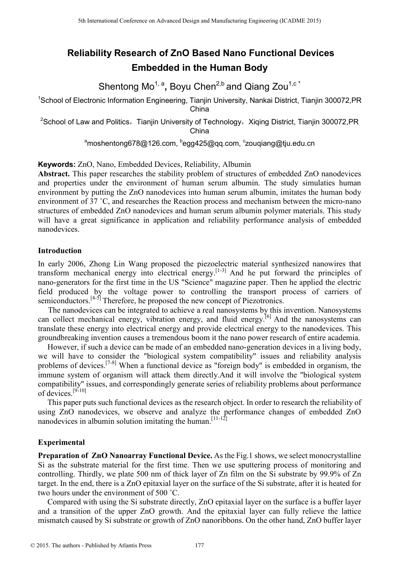# **Reliability Research of ZnO Based Nano Functional Devices Embedded in the Human Body**

Shentong Mo<sup>1, a</sup>, Boyu Chen<sup>2,b</sup> and Qiang Zou<sup>1,c\*</sup>

<sup>1</sup>School of Electronic Information Engineering, Tianjin University, Nankai District, Tianjin 300072, PR China

<sup>2</sup>School of Law and Politics, Tianjin University of Technology, Xiging District, Tianjin 300072, PR China

<sup>a</sup>moshentong678@126.com, <sup>b</sup>egg425@qq.com, <sup>c</sup>zouqiang@tju.edu.cn

**Keywords:** ZnO, Nano, Embedded Devices, Reliability, Albumin

**Abstract.** This paper researches the stability problem of structures of embedded ZnO nanodevices and properties under the environment of human serum albumin. The study simulaties human environment by putting the ZnO nanodevices into human serum albumin, imitates the human body environment of 37 ˚C, and researches the Reaction process and mechanism between the micro-nano structures of embedded ZnO nanodevices and human serum albumin polymer materials. This study will have a great significance in application and reliability performance analysis of embedded nanodevices. <sup>51</sup> School of Halam Conference on Advanced Design and Manufacture of **Employ Conference on Advanced Design and Quaracturing Conference on A school of Law and Politics, The poly Chem<sup>22</sup> and Quaracturing Conference on A s** 

# **Introduction**

In early 2006, Zhong Lin Wang proposed the piezoelectric material synthesized nanowires that transform mechanical energy into electrical energy. [1-3] And he put forward the principles of nano-generators for the first time in the US "Science" magazine paper. Then he applied the electric field produced by the voltage power to controlling the transport process of carriers of semiconductors. $[4-5]$  Therefore, he proposed the new concept of Piezotronics.

 The nanodevices can be integrated to achieve a real nanosystems by this invention. Nanosystems can collect mechanical energy, vibration energy, and fluid energy.<sup>[6]</sup> And the nanosystems can translate these energy into electrical energy and provide electrical energy to the nanodevices. This groundbreaking invention causes a tremendous boom it the nano power research of entire academia.

However, if such a device can be made of an embedded nano-generation devices in a living body, we will have to consider the "biological system compatibility" issues and reliability analysis problems of devices.<sup>[7-8]</sup> When a functional device as "foreign body" is embedded in organism, the immune system of organism will attack them directly.And it will involve the "biological system compatibility" issues, and correspondingly generate series of reliability problems about performance of devices.<sup>[9-10]</sup>

This paper puts such functional devices as the research object. In order to research the reliability of using ZnO nanodevices, we observe and analyze the performance changes of embedded ZnO nanodevices in albumin solution imitating the human.<sup>[11-12]</sup>

# **Experimental**

**Preparation of ZnO Nanoarray Functional Device.** As the Fig.1 shows, we select monocrystalline Si as the substrate material for the first time. Then we use sputtering process of monitoring and controlling. Thirdly, we plate 500 nm of thick layer of Zn film on the Si substrate by 99.9% of Zn target. In the end, there is a ZnO epitaxial layer on the surface of the Si substrate, after it is heated for two hours under the environment of 500 ˚C.

Compared with using the Si substrate directly, ZnO epitaxial layer on the surface is a buffer layer and a transition of the upper ZnO growth. And the epitaxial layer can fully relieve the lattice mismatch caused by Si substrate or growth of ZnO nanoribbons. On the other hand, ZnO buffer layer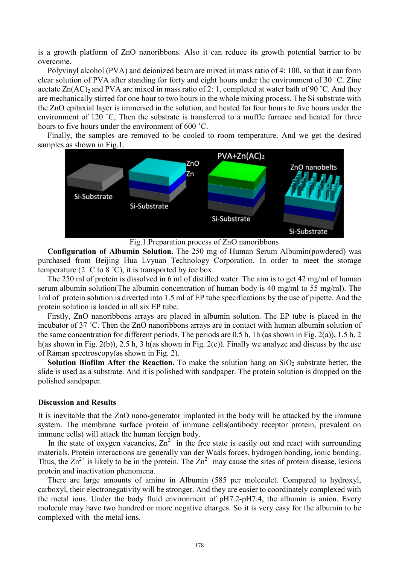is a growth platform of ZnO nanoribbons. Also it can reduce its growth potential barrier to be overcome.

Polyvinyl alcohol (PVA) and deionized beam are mixed in mass ratio of 4: 100, so that it can form clear solution of PVA after standing for forty and eight hours under the environment of 30 ˚C. Zinc acetate  $Zn(AC)_2$  and PVA are mixed in mass ratio of 2: 1, completed at water bath of 90 °C. And they are mechanically stirred for one hour to two hours in the whole mixing process. The Si substrate with the ZnO epitaxial layer is immersed in the solution, and heated for four hours to five hours under the environment of 120 °C. Then the substrate is transferred to a muffle furnace and heated for three hours to five hours under the environment of 600 ˚C.

Finally, the samples are removed to be cooled to room temperature. And we get the desired samples as shown in Fig.1.



Fig.1.Preparation process of ZnO nanoribbons

**Configuration of Albumin Solution.** The 250 mg of Human Serum Albumin(powdered) was purchased from Beijing Hua Lvyuan Technology Corporation. In order to meet the storage temperature (2  $\degree$ C to 8  $\degree$ C), it is transported by ice box.

The 250 ml of protein is dissolved in 6 ml of distilled water. The aim is to get 42 mg/ml of human serum albumin solution(The albumin concentration of human body is 40 mg/ml to 55 mg/ml). The 1ml of protein solution is diverted into 1.5 ml of EP tube specifications by the use of pipette. And the protein solution is loaded in all six EP tube.

Firstly, ZnO nanoribbons arrays are placed in albumin solution. The EP tube is placed in the incubator of 37 ˚C. Then the ZnO nanoribbons arrays are in contact with human albumin solution of the same concentration for different periods. The periods are 0.5 h, 1h (as shown in Fig. 2(a)), 1.5 h, 2 h(as shown in Fig. 2(b)), 2.5 h, 3 h(as shown in Fig. 2(c)). Finally we analyze and discuss by the use of Raman spectroscopy(as shown in Fig. 2).

**Solution Biofilm After the Reaction.** To make the solution hang on  $SiO<sub>2</sub>$  substrate better, the slide is used as a substrate. And it is polished with sandpaper. The protein solution is dropped on the polished sandpaper.

#### **Discussion and Results**

It is inevitable that the ZnO nano-generator implanted in the body will be attacked by the immune system. The membrane surface protein of immune cells(antibody receptor protein, prevalent on immune cells) will attack the human foreign body.

In the state of oxygen vacancies,  $Zn^{2+}$  in the free state is easily out and react with surrounding materials. Protein interactions are generally van der Waals forces, hydrogen bonding, ionic bonding. Thus, the  $\text{Zn}^{2+}$  is likely to be in the protein. The  $\text{Zn}^{2+}$  may cause the sites of protein disease, lesions protein and inactivation phenomena.

There are large amounts of amino in Albumin (585 per molecule). Compared to hydroxyl, carboxyl, their electronegativity will be stronger. And they are easier to coordinately complexed with the metal ions. Under the body fluid environment of pH7.2-pH7.4, the albumin is anion. Every molecule may have two hundred or more negative charges. So it is very easy for the albumin to be complexed with the metal ions.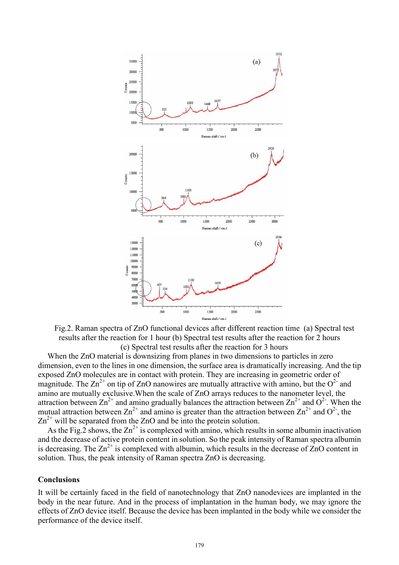

Fig.2. Raman spectra of ZnO functional devices after different reaction time (a) Spectral test results after the reaction for 1 hour (b) Spectral test results after the reaction for 2 hours (c) Spectral test results after the reaction for 3 hours

When the ZnO material is downsizing from planes in two dimensions to particles in zero dimension, even to the lines in one dimension, the surface area is dramatically increasing. And the tip exposed ZnO molecules are in contact with protein. They are increasing in geometric order of magnitude. The  $\text{Zn}^{2+}$  on tip of ZnO nanowires are mutually attractive with amino, but the O<sup>2-</sup> and amino are mutually exclusive.When the scale of ZnO arrays reduces to the nanometer level, the attraction between  $\text{Zn}^{2+}$  and amino gradually balances the attraction between  $\text{Zn}^{2+}$  and  $\text{O}^2$ . When the mutual attraction between  $\text{Zn}^{2+}$  and amino is greater than the attraction between  $\text{Zn}^{2+}$  and  $\text{O}^{2-}$ , the  $\text{Zn}^{2+}$  will be separated from the ZnO and be into the protein solution.

As the Fig. 2 shows, the  $Zn^{2+}$  is complexed with amino, which results in some albumin inactivation and the decrease of active protein content in solution. So the peak intensity of Raman spectra albumin is decreasing. The  $\text{Zn}^{2+}$  is complexed with albumin, which results in the decrease of  $\text{ZnO}$  content in solution. Thus, the peak intensity of Raman spectra ZnO is decreasing.

#### **Conclusions**

It will be certainly faced in the field of nanotechnology that ZnO nanodevices are implanted in the body in the near future. And in the process of implantation in the human body, we may ignore the effects of ZnO device itself. Because the device has been implanted in the body while we consider the performance of the device itself.